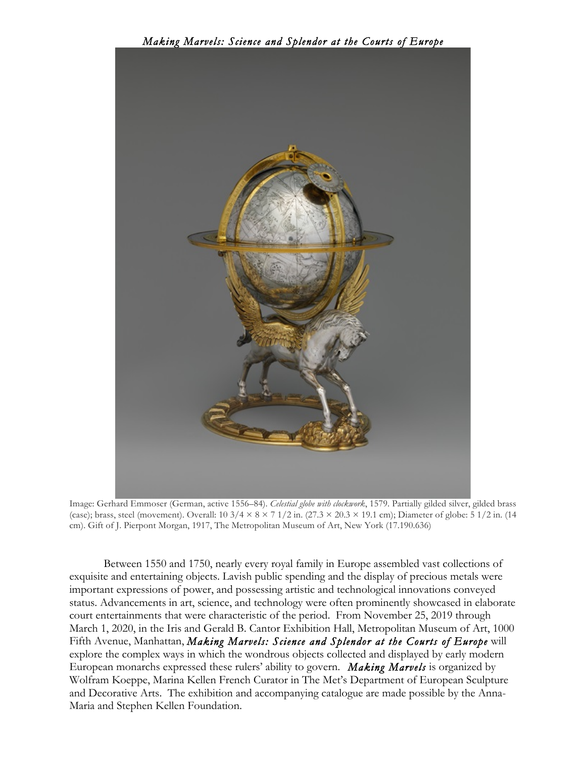

Image: Gerhard Emmoser (German, active 1556–84). *Celestial globe with clockwork*, 1579. Partially gilded silver, gilded brass (case); brass, steel (movement). Overall:  $10\frac{3}{4} \times 8 \times 7\frac{1}{2}$  in.  $(27.3 \times 20.3 \times 19.1 \text{ cm})$ ; Diameter of globe:  $5\frac{1}{2}$  in.  $(14.1 \text{ cm})$ cm). Gift of J. Pierpont Morgan, 1917, The Metropolitan Museum of Art, New York (17.190.636)

Between 1550 and 1750, nearly every royal family in Europe assembled vast collections of exquisite and entertaining objects. Lavish public spending and the display of precious metals were important expressions of power, and possessing artistic and technological innovations conveyed status. Advancements in art, science, and technology were often prominently showcased in elaborate court entertainments that were characteristic of the period. From November 25, 2019 through March 1, 2020, in the Iris and Gerald B. Cantor Exhibition Hall, Metropolitan Museum of Art, 1000 Fifth Avenue, Manhattan, *Making Marvels: Science and Splendor at the Courts of Europe* will explore the complex ways in which the wondrous objects collected and displayed by early modern European monarchs expressed these rulers' ability to govern. *Making Marvels* is organized by Wolfram Koeppe, Marina Kellen French Curator in The Met's Department of European Sculpture and Decorative Arts. The exhibition and accompanying catalogue are made possible by the Anna-Maria and Stephen Kellen Foundation.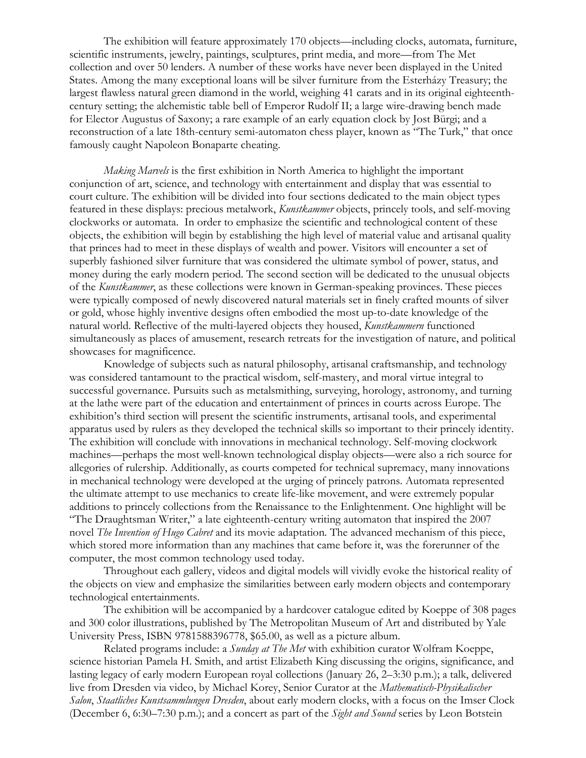The exhibition will feature approximately 170 objects—including clocks, automata, furniture, scientific instruments, jewelry, paintings, sculptures, print media, and more—from The Met collection and over 50 lenders. A number of these works have never been displayed in the United States. Among the many exceptional loans will be silver furniture from the Esterházy Treasury; the largest flawless natural green diamond in the world, weighing 41 carats and in its original eighteenthcentury setting; the alchemistic table bell of Emperor Rudolf II; a large wire-drawing bench made for Elector Augustus of Saxony; a rare example of an early equation clock by Jost Bürgi; and a reconstruction of a late 18th-century semi-automaton chess player, known as "The Turk," that once famously caught Napoleon Bonaparte cheating.

*Making Marvels* is the first exhibition in North America to highlight the important conjunction of art, science, and technology with entertainment and display that was essential to court culture. The exhibition will be divided into four sections dedicated to the main object types featured in these displays: precious metalwork, *Kunstkammer* objects, princely tools, and self-moving clockworks or automata. In order to emphasize the scientific and technological content of these objects, the exhibition will begin by establishing the high level of material value and artisanal quality that princes had to meet in these displays of wealth and power. Visitors will encounter a set of superbly fashioned silver furniture that was considered the ultimate symbol of power, status, and money during the early modern period. The second section will be dedicated to the unusual objects of the *Kunstkammer*, as these collections were known in German-speaking provinces. These pieces were typically composed of newly discovered natural materials set in finely crafted mounts of silver or gold, whose highly inventive designs often embodied the most up-to-date knowledge of the natural world. Reflective of the multi-layered objects they housed, *Kunstkammern* functioned simultaneously as places of amusement, research retreats for the investigation of nature, and political showcases for magnificence.

Knowledge of subjects such as natural philosophy, artisanal craftsmanship, and technology was considered tantamount to the practical wisdom, self-mastery, and moral virtue integral to successful governance. Pursuits such as metalsmithing, surveying, horology, astronomy, and turning at the lathe were part of the education and entertainment of princes in courts across Europe. The exhibition's third section will present the scientific instruments, artisanal tools, and experimental apparatus used by rulers as they developed the technical skills so important to their princely identity. The exhibition will conclude with innovations in mechanical technology. Self-moving clockwork machines—perhaps the most well-known technological display objects—were also a rich source for allegories of rulership. Additionally, as courts competed for technical supremacy, many innovations in mechanical technology were developed at the urging of princely patrons. Automata represented the ultimate attempt to use mechanics to create life-like movement, and were extremely popular additions to princely collections from the Renaissance to the Enlightenment. One highlight will be "The Draughtsman Writer," a late eighteenth-century writing automaton that inspired the 2007 novel *The Invention of Hugo Cabret* and its movie adaptation*.* The advanced mechanism of this piece, which stored more information than any machines that came before it, was the forerunner of the computer, the most common technology used today.

Throughout each gallery, videos and digital models will vividly evoke the historical reality of the objects on view and emphasize the similarities between early modern objects and contemporary technological entertainments.

The exhibition will be accompanied by a hardcover catalogue edited by Koeppe of 308 pages and 300 color illustrations, published by The Metropolitan Museum of Art and distributed by Yale University Press, ISBN 9781588396778, \$65.00, as well as a picture album.

Related programs include: a *Sunday at The Met* with exhibition curator Wolfram Koeppe, science historian Pamela H. Smith, and artist Elizabeth King discussing the origins, significance, and lasting legacy of early modern European royal collections (January 26, 2–3:30 p.m.); a talk, delivered live from Dresden via video, by Michael Korey, Senior Curator at the *Mathematisch-Physikalischer Salon*, *Staatliches Kunstsammlungen Dresden*, about early modern clocks, with a focus on the Imser Clock (December 6, 6:30–7:30 p.m.); and a concert as part of the *Sight and Sound* series by Leon Botstein